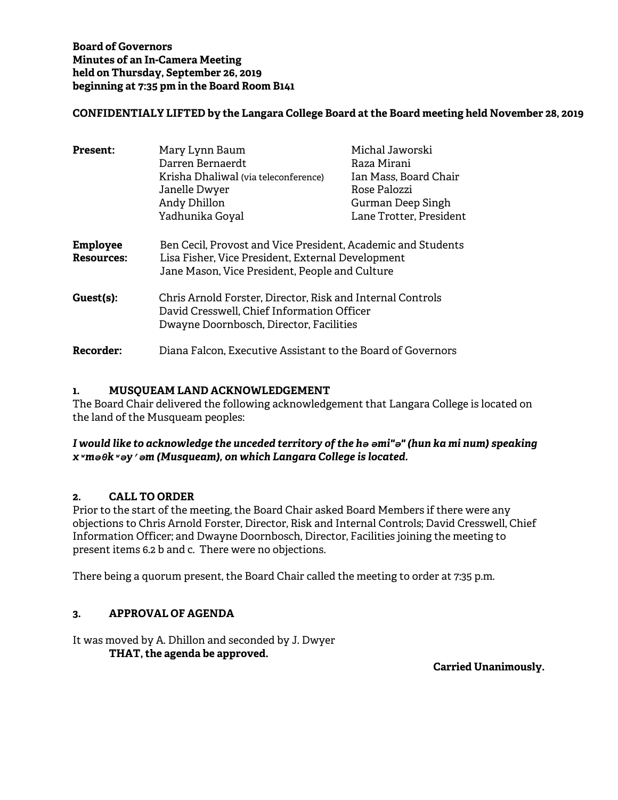# **CONFIDENTIALY LIFTED by the Langara College Board at the Board meeting held November 28, 2019**

| <b>Present:</b>                      | Mary Lynn Baum<br>Darren Bernaerdt<br>Krisha Dhaliwal (via teleconference)<br>Janelle Dwyer<br>Andy Dhillon<br>Yadhunika Goyal                                      | Michal Jaworski<br>Raza Mirani<br>Ian Mass, Board Chair<br>Rose Palozzi<br>Gurman Deep Singh<br>Lane Trotter, President |
|--------------------------------------|---------------------------------------------------------------------------------------------------------------------------------------------------------------------|-------------------------------------------------------------------------------------------------------------------------|
| <b>Employee</b><br><b>Resources:</b> | Ben Cecil, Provost and Vice President, Academic and Students<br>Lisa Fisher, Vice President, External Development<br>Jane Mason, Vice President, People and Culture |                                                                                                                         |
| Guest(s):                            | Chris Arnold Forster, Director, Risk and Internal Controls<br>David Cresswell, Chief Information Officer<br>Dwayne Doornbosch, Director, Facilities                 |                                                                                                                         |
| Recorder:                            | Diana Falcon, Executive Assistant to the Board of Governors                                                                                                         |                                                                                                                         |

# **1. MUSQUEAM LAND ACKNOWLEDGEMENT**

The Board Chair delivered the following acknowledgement that Langara College is located on the land of the Musqueam peoples:

## *I would like to acknowledge the unceded territory of the hә әmi"ә" (hun ka mi num) speaking xʷmәθkʷәy̓әm (Musqueam), on which Langara College is located.*

#### **2. CALL TO ORDER**

Prior to the start of the meeting, the Board Chair asked Board Members if there were any objections to Chris Arnold Forster, Director, Risk and Internal Controls; David Cresswell, Chief Information Officer; and Dwayne Doornbosch, Director, Facilities joining the meeting to present items 6.2 b and c. There were no objections.

There being a quorum present, the Board Chair called the meeting to order at 7:35 p.m.

# **3. APPROVAL OF AGENDA**

It was moved by A. Dhillon and seconded by J. Dwyer **THAT, the agenda be approved.**

**Carried Unanimously.**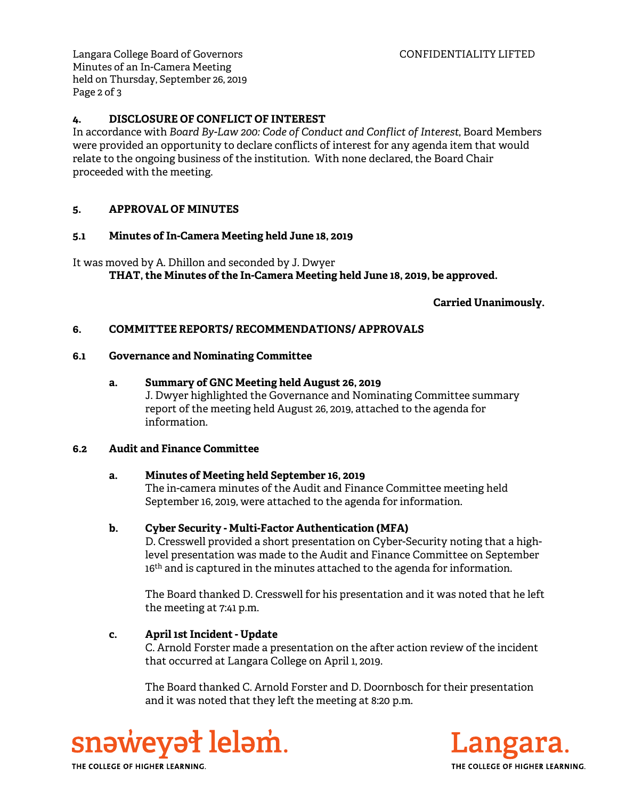Langara College Board of Governors CONFIDENTIALITY LIFTED Minutes of an In-Camera Meeting held on Thursday, September 26, 2019 Page 2 of 3

## **4. DISCLOSURE OF CONFLICT OF INTEREST**

In accordance with *Board By-Law 200: Code of Conduct and Conflict of Interest*, Board Members were provided an opportunity to declare conflicts of interest for any agenda item that would relate to the ongoing business of the institution. With none declared, the Board Chair proceeded with the meeting.

## **5. APPROVAL OF MINUTES**

#### **5.1 Minutes of In-Camera Meeting held June 18, 2019**

It was moved by A. Dhillon and seconded by J. Dwyer **THAT, the Minutes of the In-Camera Meeting held June 18, 2019, be approved.** 

**Carried Unanimously.**

#### **6. COMMITTEE REPORTS/ RECOMMENDATIONS/ APPROVALS**

#### **6.1 Governance and Nominating Committee**

## **a. Summary of GNC Meeting held August 26, 2019**

J. Dwyer highlighted the Governance and Nominating Committee summary report of the meeting held August 26, 2019, attached to the agenda for information.

#### **6.2 Audit and Finance Committee**

#### **a. Minutes of Meeting held September 16, 2019**

The in-camera minutes of the Audit and Finance Committee meeting held September 16, 2019, were attached to the agenda for information.

#### **b. Cyber Security - Multi-Factor Authentication (MFA)**

D. Cresswell provided a short presentation on Cyber-Security noting that a highlevel presentation was made to the Audit and Finance Committee on September 16<sup>th</sup> and is captured in the minutes attached to the agenda for information.

The Board thanked D. Cresswell for his presentation and it was noted that he left the meeting at 7:41 p.m.

#### **c. April 1st Incident - Update**

C. Arnold Forster made a presentation on the after action review of the incident that occurred at Langara College on April 1, 2019.

The Board thanked C. Arnold Forster and D. Doornbosch for their presentation and it was noted that they left the meeting at 8:20 p.m.